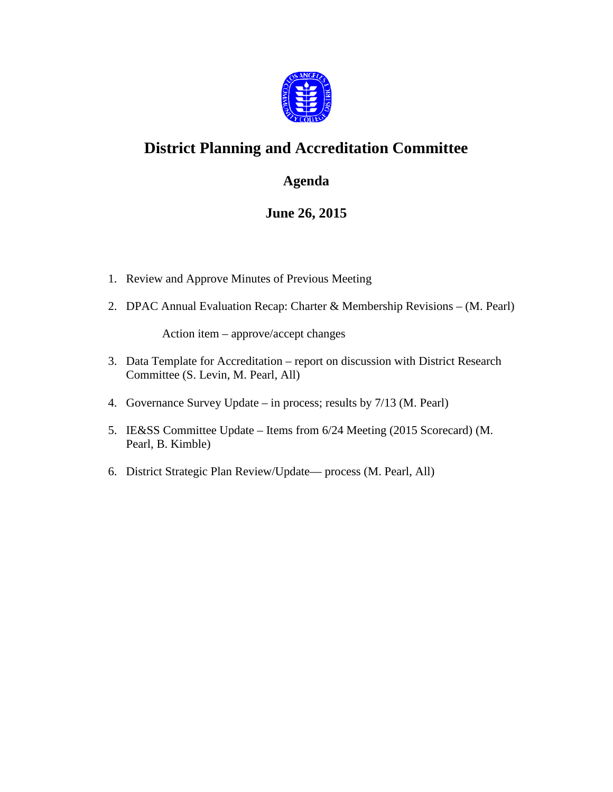

# **District Planning and Accreditation Committee**

#### **Agenda**

### **June 26, 2015**

- 1. Review and Approve Minutes of Previous Meeting
- 2. DPAC Annual Evaluation Recap: Charter & Membership Revisions (M. Pearl)

Action item – approve/accept changes

- 3. Data Template for Accreditation report on discussion with District Research Committee (S. Levin, M. Pearl, All)
- 4. Governance Survey Update in process; results by 7/13 (M. Pearl)
- 5. IE&SS Committee Update Items from 6/24 Meeting (2015 Scorecard) (M. Pearl, B. Kimble)
- 6. District Strategic Plan Review/Update— process (M. Pearl, All)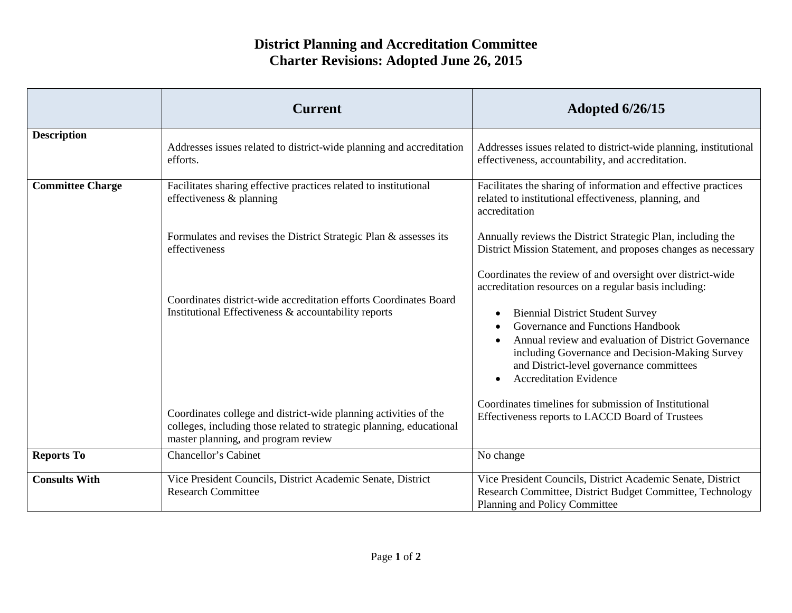## **District Planning and Accreditation Committee Charter Revisions: Adopted June 26, 2015**

|                         | <b>Current</b>                                                                                                                                                                  | <b>Adopted 6/26/15</b>                                                                                                                                                                                                                                                                                                                                                                     |
|-------------------------|---------------------------------------------------------------------------------------------------------------------------------------------------------------------------------|--------------------------------------------------------------------------------------------------------------------------------------------------------------------------------------------------------------------------------------------------------------------------------------------------------------------------------------------------------------------------------------------|
| <b>Description</b>      | Addresses issues related to district-wide planning and accreditation<br>efforts.                                                                                                | Addresses issues related to district-wide planning, institutional<br>effectiveness, accountability, and accreditation.                                                                                                                                                                                                                                                                     |
| <b>Committee Charge</b> | Facilitates sharing effective practices related to institutional<br>effectiveness & planning                                                                                    | Facilitates the sharing of information and effective practices<br>related to institutional effectiveness, planning, and<br>accreditation                                                                                                                                                                                                                                                   |
|                         | Formulates and revises the District Strategic Plan & assesses its<br>effectiveness                                                                                              | Annually reviews the District Strategic Plan, including the<br>District Mission Statement, and proposes changes as necessary                                                                                                                                                                                                                                                               |
|                         | Coordinates district-wide accreditation efforts Coordinates Board<br>Institutional Effectiveness & accountability reports                                                       | Coordinates the review of and oversight over district-wide<br>accreditation resources on a regular basis including:<br><b>Biennial District Student Survey</b><br>Governance and Functions Handbook<br>Annual review and evaluation of District Governance<br>including Governance and Decision-Making Survey<br>and District-level governance committees<br><b>Accreditation Evidence</b> |
|                         | Coordinates college and district-wide planning activities of the<br>colleges, including those related to strategic planning, educational<br>master planning, and program review | Coordinates timelines for submission of Institutional<br>Effectiveness reports to LACCD Board of Trustees                                                                                                                                                                                                                                                                                  |
| <b>Reports To</b>       | <b>Chancellor's Cabinet</b>                                                                                                                                                     | No change                                                                                                                                                                                                                                                                                                                                                                                  |
| <b>Consults With</b>    | Vice President Councils, District Academic Senate, District<br><b>Research Committee</b>                                                                                        | Vice President Councils, District Academic Senate, District<br>Research Committee, District Budget Committee, Technology<br>Planning and Policy Committee                                                                                                                                                                                                                                  |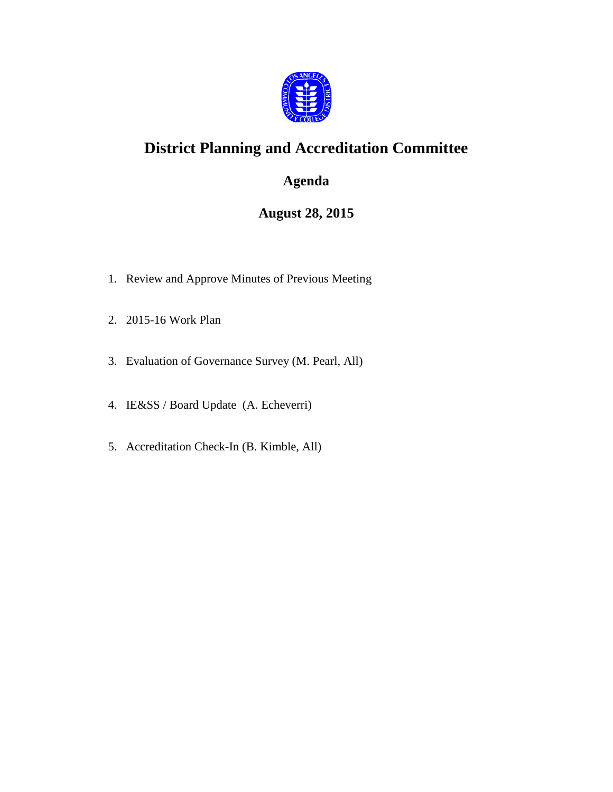

# **District Planning and Accreditation Committee**

### **Agenda**

### **August 28, 2015**

- 1. Review and Approve Minutes of Previous Meeting
- 2. 2015-16 Work Plan
- 3. Evaluation of Governance Survey (M. Pearl, All)
- 4. IE&SS / Board Update (A. Echeverri)
- 5. Accreditation Check-In (B. Kimble, All)